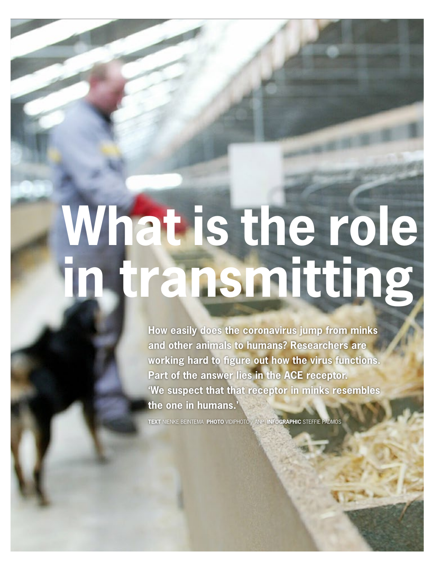# **What is the role** in transmitting

**How easily does the coronavirus jump from minks and other animals to humans? Researchers are working hard to figure out how the virus functions. Part of the answer lies in the ACE receptor. 'We suspect that that receptor in minks resembles the one in humans.'**

**TEXT** NIENKE BEINTEMA **PHOTO** VIDIPHOTO / ANP **INFOGRAPHIC** STEFFIE PADMOS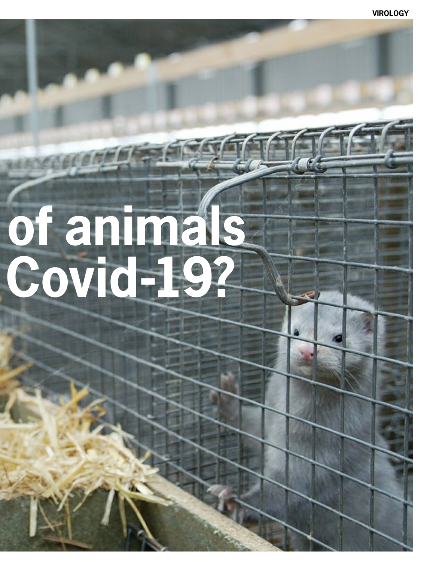## of animals Covid-19?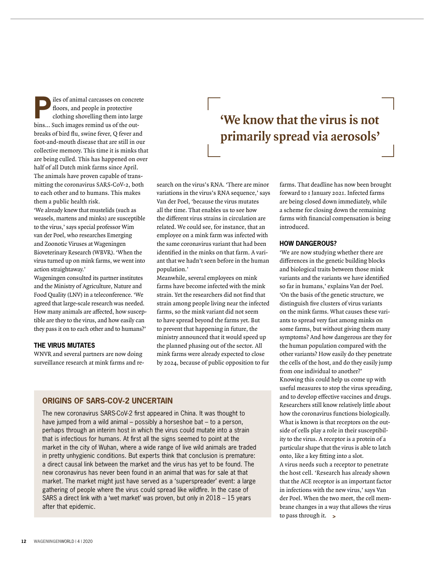**P**iles of animal carcasses on concrete<br>floors, and people in protective<br>clothing shovelling them into large floors, and people in protective bins… Such images remind us of the outbreaks of bird flu, swine fever, Q fever and foot-and-mouth disease that are still in our collective memory. This time it is minks that are being culled. This has happened on over half of all Dutch mink farms since April. The animals have proven capable of transmitting the coronavirus SARS-CoV-2, both to each other and to humans. This makes them a public health risk.

'We already knew that mustelids (such as weasels, martens and minks) are susceptible to the virus,' says special professor Wim van der Poel, who researches Emerging and Zoonotic Viruses at Wageningen Bioveterinary Research (WBVR). 'When the virus turned up on mink farms, we went into action straightaway.'

Wageningen consulted its partner institutes and the Ministry of Agriculture, Nature and Food Quality (LNV) in a teleconference. 'We agreed that large-scale research was needed. How many animals are affected, how susceptible are they to the virus, and how easily can they pass it on to each other and to humans?'

#### **THE VIRUS MUTATES**

WNVR and several partners are now doing surveillance research at mink farms and re-

### **'We know that the virus is not primarily spread via aerosols'**

search on the virus's RNA. 'There are minor variations in the virus's RNA sequence,' says Van der Poel, 'because the virus mutates all the time. That enables us to see how the different virus strains in circulation are related. We could see, for instance, that an employee on a mink farm was infected with the same coronavirus variant that had been identified in the minks on that farm. A variant that we hadn't seen before in the human population.'

Meanwhile, several employees on mink farms have become infected with the mink strain. Yet the researchers did not find that strain among people living near the infected farms, so the mink variant did not seem to have spread beyond the farms yet. But to prevent that happening in future, the ministry announced that it would speed up the planned phasing out of the sector. All mink farms were already expected to close by 2024, because of public opposition to fur

#### **ORIGINS OF SARS-COV-2 UNCERTAIN**

The new coronavirus SARS-CoV-2 first appeared in China. It was thought to have jumped from a wild animal – possibly a horseshoe bat – to a person, perhaps through an interim host in which the virus could mutate into a strain that is infectious for humans. At first all the signs seemed to point at the market in the city of Wuhan, where a wide range of live wild animals are traded in pretty unhygienic conditions. But experts think that conclusion is premature: a direct causal link between the market and the virus has yet to be found. The new coronavirus has never been found in an animal that was for sale at that market. The market might just have served as a 'superspreader' event: a large gathering of people where the virus could spread like wildfire. In the case of SARS a direct link with a 'wet market' was proven, but only in 2018 – 15 years after that epidemic.

farms. That deadline has now been brought forward to 1 January 2021. Infected farms are being closed down immediately, while a scheme for closing down the remaining farms with financial compensation is being introduced.

#### **HOW DANGEROUS?**

'We are now studying whether there are differences in the genetic building blocks and biological traits between those mink variants and the variants we have identified so far in humans,' explains Van der Poel. 'On the basis of the genetic structure, we distinguish five clusters of virus variants on the mink farms. What causes these variants to spread very fast among minks on some farms, but without giving them many symptoms? And how dangerous are they for the human population compared with the other variants? How easily do they penetrate the cells of the host, and do they easily jump from one individual to another?' Knowing this could help us come up with useful measures to stop the virus spreading, and to develop effective vaccines and drugs. Researchers still know relatively little about how the coronavirus functions biologically. What is known is that receptors on the outside of cells play a role in their susceptibility to the virus. A receptor is a protein of a particular shape that the virus is able to latch onto, like a key fitting into a slot. A virus needs such a receptor to penetrate the host cell. 'Research has already shown that the ACE receptor is an important factor in infections with the new virus,' says Van der Poel. When the two meet, the cell membrane changes in a way that allows the virus to pass through it. **>**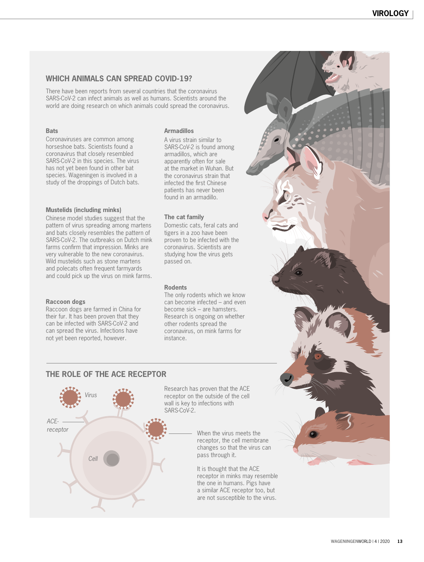#### **WHICH ANIMALS CAN SPREAD COVID-19?**

There have been reports from several countries that the coronavirus SARS-CoV-2 can infect animals as well as humans. Scientists around the world are doing research on which animals could spread the coronavirus.

#### **Bats**

Coronaviruses are common among horseshoe bats. Scientists found a coronavirus that closely resembled SARS-CoV-2 in this species. The virus has not yet been found in other bat species. Wageningen is involved in a study of the droppings of Dutch bats.

#### **Mustelids (including minks)**

Chinese model studies suggest that the pattern of virus spreading among martens and bats closely resembles the pattern of SARS-CoV-2. The outbreaks on Dutch mink farms confirm that impression. Minks are very vulnerable to the new coronavirus. Wild mustelids such as stone martens and polecats often frequent farmyards and could pick up the virus on mink farms.

#### **Raccoon dogs**

Raccoon dogs are farmed in China for their fur. It has been proven that they can be infected with SARS-CoV-2 and can spread the virus. Infections have not yet been reported, however.

#### **Armadillos**

A virus strain similar to SARS-CoV-2 is found among armadillos, which are apparently often for sale at the market in Wuhan. But the coronavirus strain that infected the first Chinese patients has never been found in an armadillo.

#### **The cat family**

Domestic cats, feral cats and tigers in a zoo have been proven to be infected with the coronavirus. Scientists are studying how the virus gets passed on.

#### **Rodents**

The only rodents which we know can become infected – and even become sick – are hamsters. Research is ongoing on whether other rodents spread the coronavirus, on mink farms for instance.

#### **THE ROLE OF THE ACE RECEPTOR**



Research has proven that the ACE receptor on the outside of the cell wall is key to infections with

> When the virus meets the receptor, the cell membrane changes so that the virus can pass through it.

It is thought that the ACE receptor in minks may resemble the one in humans. Pigs have a similar ACE receptor too, but are not susceptible to the virus.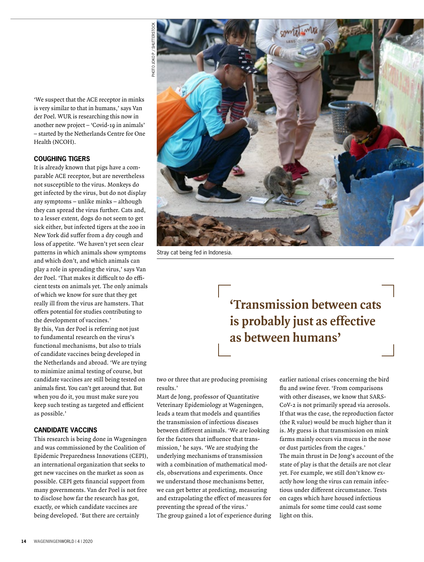'We suspect that the ACE receptor in minks is very similar to that in humans,' says Van der Poel. WUR is researching this now in another new project – 'Covid-19 in animals' – started by the Netherlands Centre for One Health (NCOH).

#### **COUGHING TIGERS**

It is already known that pigs have a comparable ACE receptor, but are nevertheless not susceptible to the virus. Monkeys do get infected by the virus, but do not display any symptoms – unlike minks – although they can spread the virus further. Cats and, to a lesser extent, dogs do not seem to get sick either, but infected tigers at the zoo in New York did suffer from a dry cough and loss of appetite. 'We haven't yet seen clear patterns in which animals show symptoms and which don't, and which animals can play a role in spreading the virus,' says Van der Poel. 'That makes it difficult to do efficient tests on animals yet. The only animals of which we know for sure that they get really ill from the virus are hamsters. That offers potential for studies contributing to the development of vaccines.' By this, Van der Poel is referring not just to fundamental research on the virus's functional mechanisms, but also to trials of candidate vaccines being developed in the Netherlands and abroad. 'We are trying to minimize animal testing of course, but candidate vaccines are still being tested on animals first. You can't get around that. But when you do it, you must make sure you keep such testing as targeted and efficient as possible.'

#### **CANDIDATE VACCINS**

This research is being done in Wageningen and was commissioned by the Coalition of Epidemic Preparedness Innovations (CEPI), an international organization that seeks to get new vaccines on the market as soon as possible. CEPI gets financial support from many governments. Van der Poel is not free to disclose how far the research has got, exactly, or which candidate vaccines are being developed. 'But there are certainly



Stray cat being fed in Indonesia.

## **'Transmission between cats is probably just as effective as between humans'**

two or three that are producing promising results.'

Mart de Jong, professor of Quantitative Veterinary Epidemiology at Wageningen, leads a team that models and quantifies the transmission of infectious diseases between different animals. 'We are looking for the factors that influence that transmission,' he says. 'We are studying the underlying mechanisms of transmission with a combination of mathematical models, observations and experiments. Once we understand those mechanisms better, we can get better at predicting, measuring and extrapolating the effect of measures for preventing the spread of the virus.' The group gained a lot of experience during

earlier national crises concerning the bird flu and swine fever. 'From comparisons with other diseases, we know that SARS-CoV-2 is not primarily spread via aerosols. If that was the case, the reproduction factor (the R value) would be much higher than it is. My guess is that transmission on mink farms mainly occurs via mucus in the nose or dust particles from the cages.' The main thrust in De Jong's account of the state of play is that the details are not clear yet. For example, we still don't know exactly how long the virus can remain infectious under different circumstance. Tests on cages which have housed infectious animals for some time could cast some light on this.